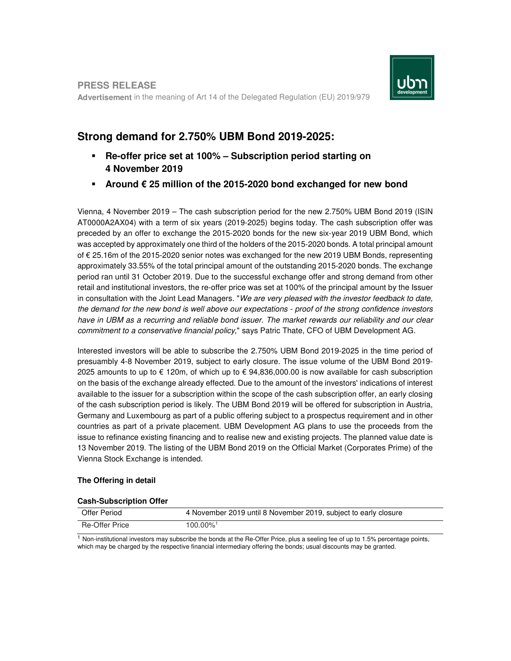

**PRESS RELEASE Advertisement** in the meaning of Art 14 of the Delegated Regulation (EU) 2019/979

# **Strong demand for 2.750% UBM Bond 2019-2025:**

- **Re-offer price set at 100% Subscription period starting on 4 November 2019**
- **Around € 25 million of the 2015-2020 bond exchanged for new bond**

Vienna, 4 November 2019 – The cash subscription period for the new 2.750% UBM Bond 2019 (ISIN AT0000A2AX04) with a term of six years (2019-2025) begins today. The cash subscription offer was preceded by an offer to exchange the 2015-2020 bonds for the new six-year 2019 UBM Bond, which was accepted by approximately one third of the holders of the 2015-2020 bonds. A total principal amount of € 25.16m of the 2015-2020 senior notes was exchanged for the new 2019 UBM Bonds, representing approximately 33.55% of the total principal amount of the outstanding 2015-2020 bonds. The exchange period ran until 31 October 2019. Due to the successful exchange offer and strong demand from other retail and institutional investors, the re-offer price was set at 100% of the principal amount by the Issuer in consultation with the Joint Lead Managers. "We are very pleased with the investor feedback to date, the demand for the new bond is well above our expectations - proof of the strong confidence investors have in UBM as a recurring and reliable bond issuer. The market rewards our reliability and our clear commitment to a conservative financial policy," says Patric Thate, CFO of UBM Development AG.

Interested investors will be able to subscribe the 2.750% UBM Bond 2019-2025 in the time period of presuambly 4-8 November 2019, subject to early closure. The issue volume of the UBM Bond 2019- 2025 amounts to up to € 120m, of which up to € 94,836,000.00 is now available for cash subscription on the basis of the exchange already effected. Due to the amount of the investors' indications of interest available to the issuer for a subscription within the scope of the cash subscription offer, an early closing of the cash subscription period is likely. The UBM Bond 2019 will be offered for subscription in Austria, Germany and Luxembourg as part of a public offering subject to a prospectus requirement and in other countries as part of a private placement. UBM Development AG plans to use the proceeds from the issue to refinance existing financing and to realise new and existing projects. The planned value date is 13 November 2019. The listing of the UBM Bond 2019 on the Official Market (Corporates Prime) of the Vienna Stock Exchange is intended.

## **The Offering in detail**

### **Cash-Subscription Offer**

| Offer Period   | 4 November 2019 until 8 November 2019, subject to early closure |
|----------------|-----------------------------------------------------------------|
| Re-Offer Price | 100.00%                                                         |

 $1$  Non-institutional investors may subscribe the bonds at the Re-Offer Price, plus a seeling fee of up to 1.5% percentage points, which may be charged by the respective financial intermediary offering the bonds; usual discounts may be granted.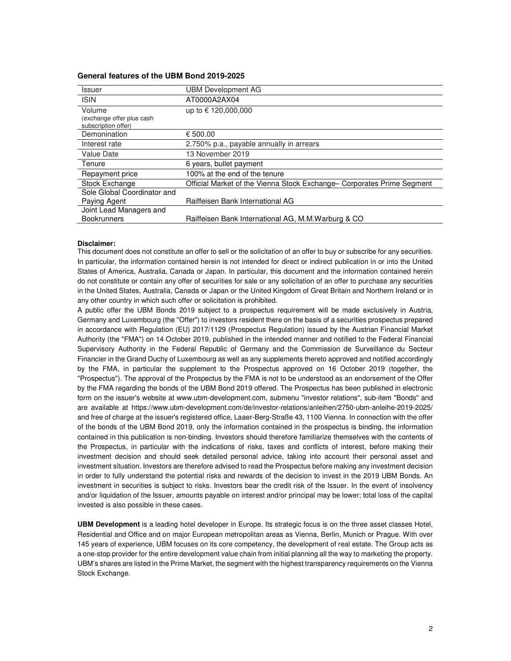#### **General features of the UBM Bond 2019-2025**

| <b>Issuer</b>                                    | UBM Development AG                                                     |
|--------------------------------------------------|------------------------------------------------------------------------|
| <b>ISIN</b>                                      | AT0000A2AX04                                                           |
| Volume                                           | up to € 120,000,000                                                    |
| (exchange offer plus cash<br>subscription offer) |                                                                        |
| Demonination                                     | € 500.00                                                               |
| Interest rate                                    | 2.750% p.a., payable annually in arrears                               |
| Value Date                                       | 13 November 2019                                                       |
| Tenure                                           | 6 years, bullet payment                                                |
| Repayment price                                  | 100% at the end of the tenure                                          |
| Stock Exchange                                   | Official Market of the Vienna Stock Exchange– Corporates Prime Segment |
| Sole Global Coordinator and                      |                                                                        |
| Paying Agent                                     | Raiffeisen Bank International AG                                       |
| Joint Lead Managers and                          |                                                                        |
| <b>Bookrunners</b>                               | Raiffeisen Bank International AG, M.M.Warburg & CO                     |

#### **Disclaimer:**

This document does not constitute an offer to sell or the solicitation of an offer to buy or subscribe for any securities. In particular, the information contained herein is not intended for direct or indirect publication in or into the United States of America, Australia, Canada or Japan. In particular, this document and the information contained herein do not constitute or contain any offer of securities for sale or any solicitation of an offer to purchase any securities in the United States, Australia, Canada or Japan or the United Kingdom of Great Britain and Northern Ireland or in any other country in which such offer or solicitation is prohibited.

A public offer the UBM Bonds 2019 subject to a prospectus requirement will be made exclusively in Austria, Germany and Luxembourg (the "Offer") to investors resident there on the basis of a securities prospectus prepared in accordance with Regulation (EU) 2017/1129 (Prospectus Regulation) issued by the Austrian Financial Market Authority (the "FMA") on 14 October 2019, published in the intended manner and notified to the Federal Financial Supervisory Authority in the Federal Republic of Germany and the Commission de Surveillance du Secteur Financier in the Grand Duchy of Luxembourg as well as any supplements thereto approved and notified accordingly by the FMA, in particular the supplement to the Prospectus approved on 16 October 2019 (together, the "Prospectus"). The approval of the Prospectus by the FMA is not to be understood as an endorsement of the Offer by the FMA regarding the bonds of the UBM Bond 2019 offered. The Prospectus has been published in electronic form on the issuer's website at www.ubm-development.com, submenu "investor relations", sub-item "Bonds" and are available at https://www.ubm-development.com/de/investor-relations/anleihen/2750-ubm-anleihe-2019-2025/ and free of charge at the issuer's registered office, Laaer-Berg-Straße 43, 1100 Vienna. In connection with the offer of the bonds of the UBM Bond 2019, only the information contained in the prospectus is binding, the information contained in this publication is non-binding. Investors should therefore familiarize themselves with the contents of the Prospectus, in particular with the indications of risks, taxes and conflicts of interest, before making their investment decision and should seek detailed personal advice, taking into account their personal asset and investment situation. Investors are therefore advised to read the Prospectus before making any investment decision in order to fully understand the potential risks and rewards of the decision to invest in the 2019 UBM Bonds. An investment in securities is subject to risks. Investors bear the credit risk of the Issuer. In the event of insolvency and/or liquidation of the Issuer, amounts payable on interest and/or principal may be lower; total loss of the capital invested is also possible in these cases.

**UBM Development** is a leading hotel developer in Europe. Its strategic focus is on the three asset classes Hotel, Residential and Office and on major European metropolitan areas as Vienna, Berlin, Munich or Prague. With over 145 years of experience, UBM focuses on its core competency, the development of real estate. The Group acts as a one-stop provider for the entire development value chain from initial planning all the way to marketing the property. UBM's shares are listed in the Prime Market, the segment with the highest transparency requirements on the Vienna Stock Exchange.